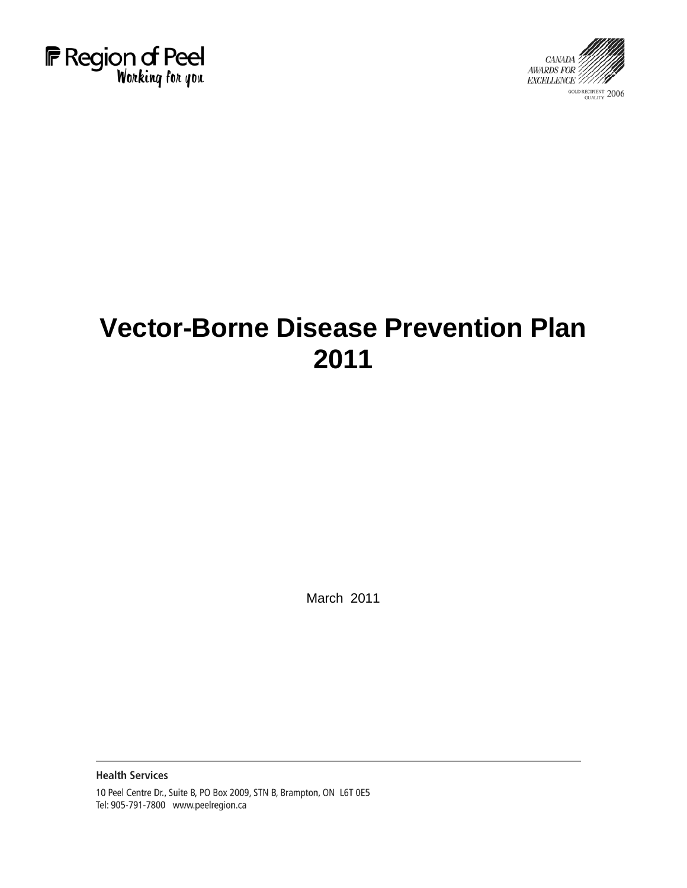



# **Vector-Borne Disease Prevention Plan 2011**

March 2011

**Health Services** 

10 Peel Centre Dr., Suite B, PO Box 2009, STN B, Brampton, ON L6T 0E5 Tel: 905-791-7800 www.peelregion.ca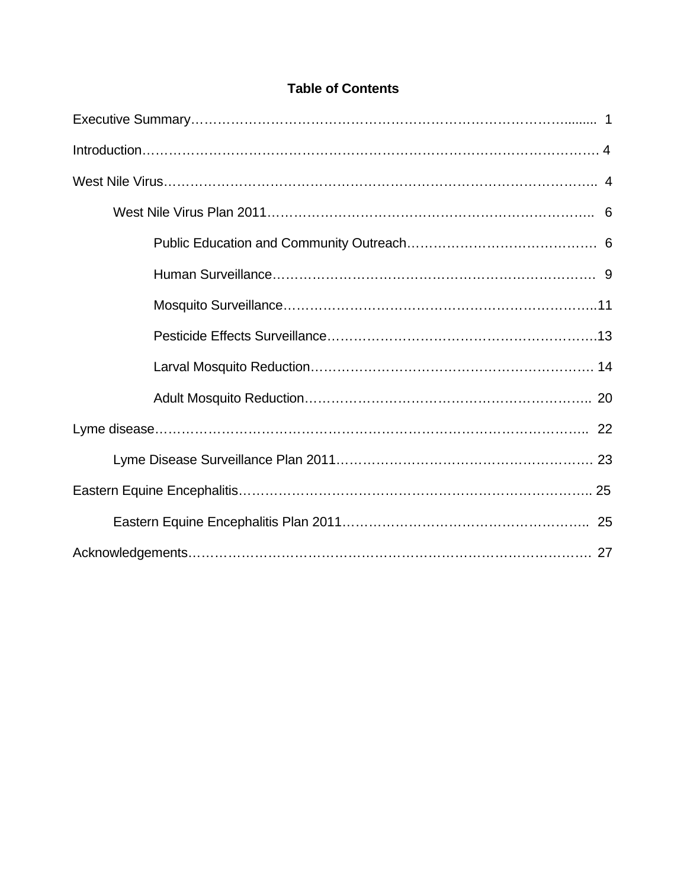# **Table of Contents**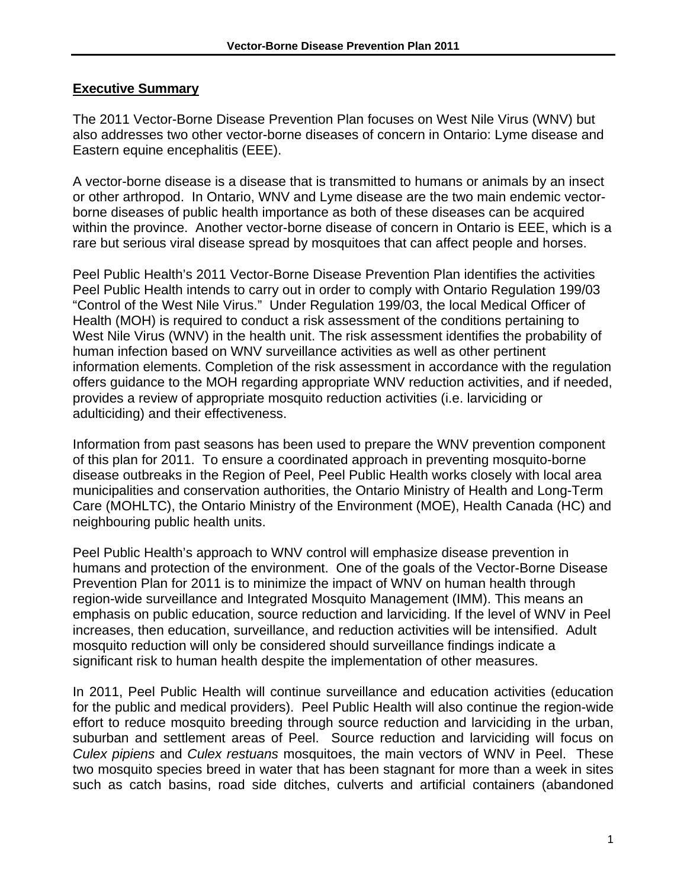#### **Executive Summary**

The 2011 Vector-Borne Disease Prevention Plan focuses on West Nile Virus (WNV) but also addresses two other vector-borne diseases of concern in Ontario: Lyme disease and Eastern equine encephalitis (EEE).

A vector-borne disease is a disease that is transmitted to humans or animals by an insect or other arthropod. In Ontario, WNV and Lyme disease are the two main endemic vectorborne diseases of public health importance as both of these diseases can be acquired within the province. Another vector-borne disease of concern in Ontario is EEE, which is a rare but serious viral disease spread by mosquitoes that can affect people and horses.

Peel Public Health's 2011 Vector-Borne Disease Prevention Plan identifies the activities Peel Public Health intends to carry out in order to comply with Ontario Regulation 199/03 "Control of the West Nile Virus." Under Regulation 199/03, the local Medical Officer of Health (MOH) is required to conduct a risk assessment of the conditions pertaining to West Nile Virus (WNV) in the health unit. The risk assessment identifies the probability of human infection based on WNV surveillance activities as well as other pertinent information elements. Completion of the risk assessment in accordance with the regulation offers guidance to the MOH regarding appropriate WNV reduction activities, and if needed, provides a review of appropriate mosquito reduction activities (i.e. larviciding or adulticiding) and their effectiveness.

Information from past seasons has been used to prepare the WNV prevention component of this plan for 2011. To ensure a coordinated approach in preventing mosquito-borne disease outbreaks in the Region of Peel, Peel Public Health works closely with local area municipalities and conservation authorities, the Ontario Ministry of Health and Long-Term Care (MOHLTC), the Ontario Ministry of the Environment (MOE), Health Canada (HC) and neighbouring public health units.

Peel Public Health's approach to WNV control will emphasize disease prevention in humans and protection of the environment. One of the goals of the Vector-Borne Disease Prevention Plan for 2011 is to minimize the impact of WNV on human health through region-wide surveillance and Integrated Mosquito Management (IMM). This means an emphasis on public education, source reduction and larviciding. If the level of WNV in Peel increases, then education, surveillance, and reduction activities will be intensified. Adult mosquito reduction will only be considered should surveillance findings indicate a significant risk to human health despite the implementation of other measures.

In 2011, Peel Public Health will continue surveillance and education activities (education for the public and medical providers). Peel Public Health will also continue the region-wide effort to reduce mosquito breeding through source reduction and larviciding in the urban, suburban and settlement areas of Peel. Source reduction and larviciding will focus on *Culex pipiens* and *Culex restuans* mosquitoes, the main vectors of WNV in Peel. These two mosquito species breed in water that has been stagnant for more than a week in sites such as catch basins, road side ditches, culverts and artificial containers (abandoned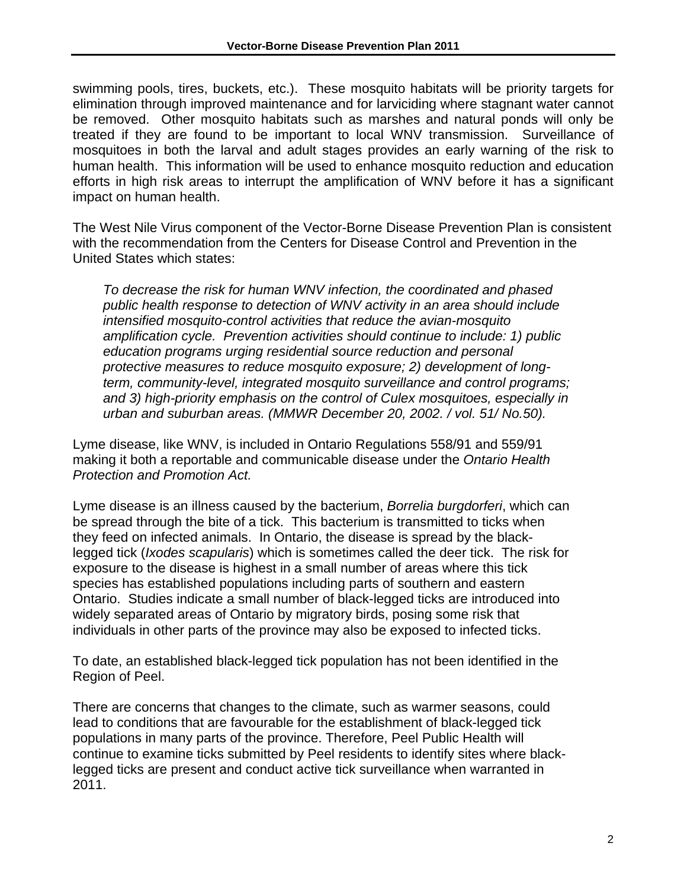swimming pools, tires, buckets, etc.). These mosquito habitats will be priority targets for elimination through improved maintenance and for larviciding where stagnant water cannot be removed. Other mosquito habitats such as marshes and natural ponds will only be treated if they are found to be important to local WNV transmission. Surveillance of mosquitoes in both the larval and adult stages provides an early warning of the risk to human health. This information will be used to enhance mosquito reduction and education efforts in high risk areas to interrupt the amplification of WNV before it has a significant impact on human health.

The West Nile Virus component of the Vector-Borne Disease Prevention Plan is consistent with the recommendation from the Centers for Disease Control and Prevention in the United States which states:

*To decrease the risk for human WNV infection, the coordinated and phased public health response to detection of WNV activity in an area should include intensified mosquito-control activities that reduce the avian-mosquito amplification cycle. Prevention activities should continue to include: 1) public education programs urging residential source reduction and personal protective measures to reduce mosquito exposure; 2) development of longterm, community-level, integrated mosquito surveillance and control programs; and 3) high-priority emphasis on the control of Culex mosquitoes, especially in urban and suburban areas. (MMWR December 20, 2002. / vol. 51/ No.50).* 

Lyme disease, like WNV, is included in Ontario Regulations 558/91 and 559/91 making it both a reportable and communicable disease under the *Ontario Health Protection and Promotion Act.* 

Lyme disease is an illness caused by the bacterium, *Borrelia burgdorferi*, which can be spread through the bite of a tick. This bacterium is transmitted to ticks when they feed on infected animals. In Ontario, the disease is spread by the blacklegged tick (*Ixodes scapularis*) which is sometimes called the deer tick. The risk for exposure to the disease is highest in a small number of areas where this tick species has established populations including parts of southern and eastern Ontario. Studies indicate a small number of black-legged ticks are introduced into widely separated areas of Ontario by migratory birds, posing some risk that individuals in other parts of the province may also be exposed to infected ticks.

To date, an established black-legged tick population has not been identified in the Region of Peel.

There are concerns that changes to the climate, such as warmer seasons, could lead to conditions that are favourable for the establishment of black-legged tick populations in many parts of the province. Therefore, Peel Public Health will continue to examine ticks submitted by Peel residents to identify sites where blacklegged ticks are present and conduct active tick surveillance when warranted in 2011.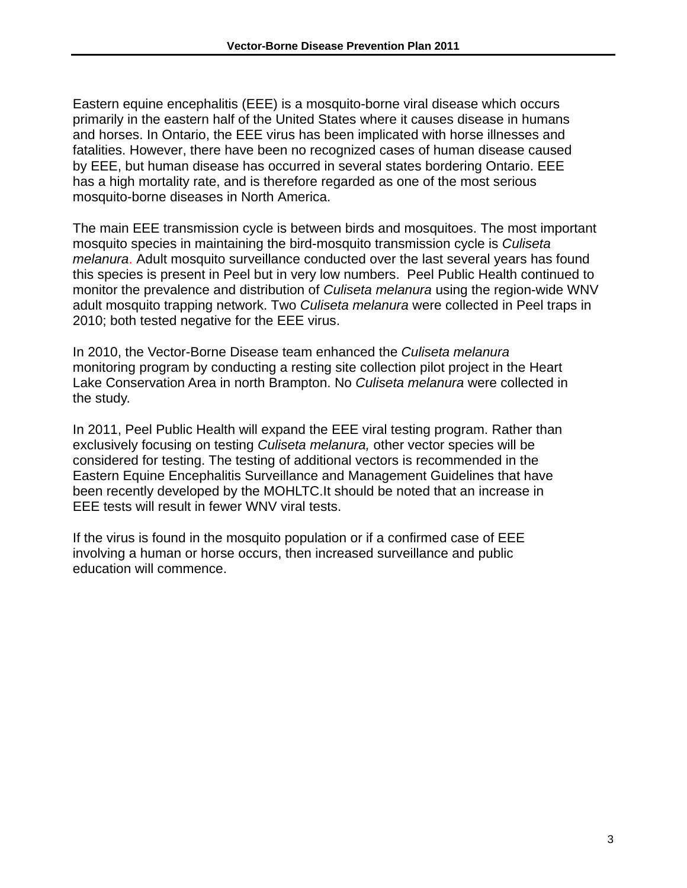Eastern equine encephalitis (EEE) is a mosquito-borne viral disease which occurs primarily in the eastern half of the United States where it causes disease in humans and horses. In Ontario, the EEE virus has been implicated with horse illnesses and fatalities. However, there have been no recognized cases of human disease caused by EEE, but human disease has occurred in several states bordering Ontario. EEE has a high mortality rate, and is therefore regarded as one of the most serious mosquito-borne diseases in North America.

The main EEE transmission cycle is between birds and mosquitoes. The most important mosquito species in maintaining the bird-mosquito transmission cycle is *Culiseta melanura*. Adult mosquito surveillance conducted over the last several years has found this species is present in Peel but in very low numbers. Peel Public Health continued to monitor the prevalence and distribution of *Culiseta melanura* using the region-wide WNV adult mosquito trapping network. Two *Culiseta melanura* were collected in Peel traps in 2010; both tested negative for the EEE virus.

In 2010, the Vector-Borne Disease team enhanced the *Culiseta melanura* monitoring program by conducting a resting site collection pilot project in the Heart Lake Conservation Area in north Brampton. No *Culiseta melanura* were collected in the study.

In 2011, Peel Public Health will expand the EEE viral testing program. Rather than exclusively focusing on testing *Culiseta melanura,* other vector species will be considered for testing. The testing of additional vectors is recommended in the Eastern Equine Encephalitis Surveillance and Management Guidelines that have been recently developed by the MOHLTC.It should be noted that an increase in EEE tests will result in fewer WNV viral tests.

If the virus is found in the mosquito population or if a confirmed case of EEE involving a human or horse occurs, then increased surveillance and public education will commence.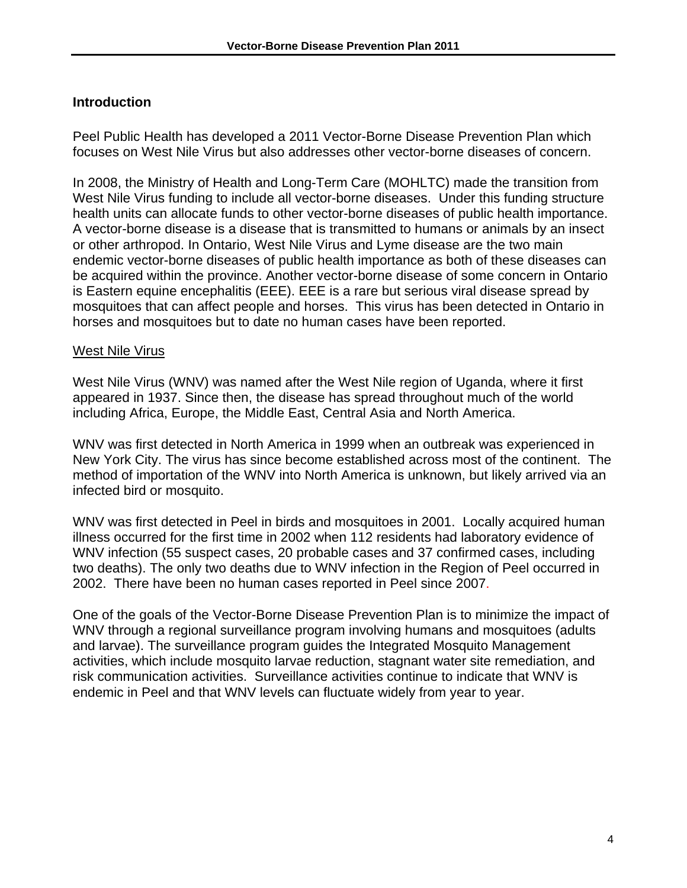## **Introduction**

Peel Public Health has developed a 2011 Vector-Borne Disease Prevention Plan which focuses on West Nile Virus but also addresses other vector-borne diseases of concern.

In 2008, the Ministry of Health and Long-Term Care (MOHLTC) made the transition from West Nile Virus funding to include all vector-borne diseases. Under this funding structure health units can allocate funds to other vector-borne diseases of public health importance. A vector-borne disease is a disease that is transmitted to humans or animals by an insect or other arthropod. In Ontario, West Nile Virus and Lyme disease are the two main endemic vector-borne diseases of public health importance as both of these diseases can be acquired within the province. Another vector-borne disease of some concern in Ontario is Eastern equine encephalitis (EEE). EEE is a rare but serious viral disease spread by mosquitoes that can affect people and horses. This virus has been detected in Ontario in horses and mosquitoes but to date no human cases have been reported.

#### West Nile Virus

West Nile Virus (WNV) was named after the West Nile region of Uganda, where it first appeared in 1937. Since then, the disease has spread throughout much of the world including Africa, Europe, the Middle East, Central Asia and North America.

WNV was first detected in North America in 1999 when an outbreak was experienced in New York City. The virus has since become established across most of the continent. The method of importation of the WNV into North America is unknown, but likely arrived via an infected bird or mosquito.

WNV was first detected in Peel in birds and mosquitoes in 2001. Locally acquired human illness occurred for the first time in 2002 when 112 residents had laboratory evidence of WNV infection (55 suspect cases, 20 probable cases and 37 confirmed cases, including two deaths). The only two deaths due to WNV infection in the Region of Peel occurred in 2002. There have been no human cases reported in Peel since 2007.

One of the goals of the Vector-Borne Disease Prevention Plan is to minimize the impact of WNV through a regional surveillance program involving humans and mosquitoes (adults and larvae). The surveillance program guides the Integrated Mosquito Management activities, which include mosquito larvae reduction, stagnant water site remediation, and risk communication activities. Surveillance activities continue to indicate that WNV is endemic in Peel and that WNV levels can fluctuate widely from year to year.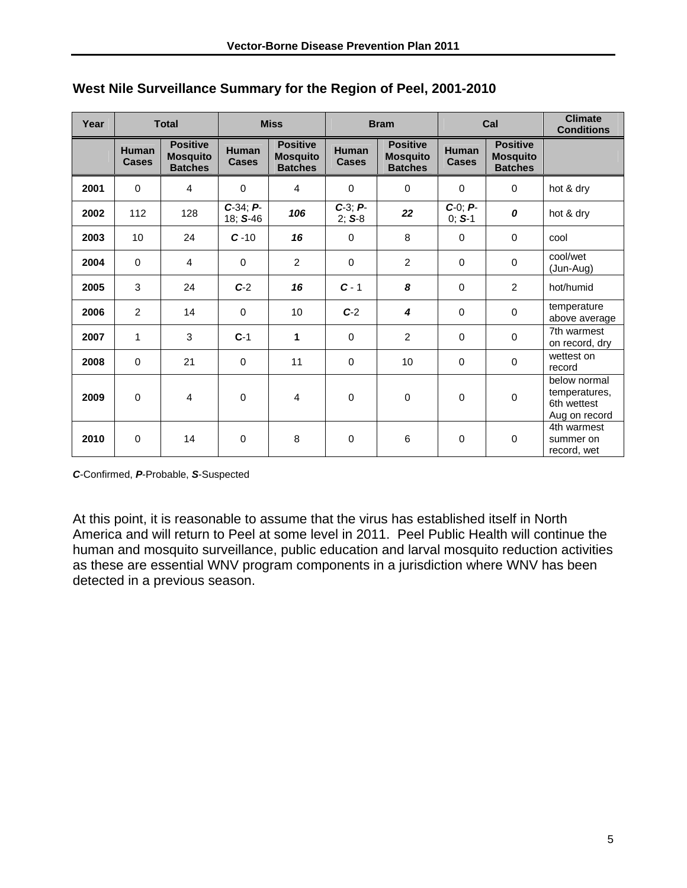| Year | <b>Total</b>                 |                                                      | <b>Miss</b>                  |                                                      | <b>Bram</b>                  |                                                      | Cal                          |                                                      | <b>Climate</b><br><b>Conditions</b>                           |
|------|------------------------------|------------------------------------------------------|------------------------------|------------------------------------------------------|------------------------------|------------------------------------------------------|------------------------------|------------------------------------------------------|---------------------------------------------------------------|
|      | <b>Human</b><br><b>Cases</b> | <b>Positive</b><br><b>Mosquito</b><br><b>Batches</b> | <b>Human</b><br><b>Cases</b> | <b>Positive</b><br><b>Mosquito</b><br><b>Batches</b> | <b>Human</b><br><b>Cases</b> | <b>Positive</b><br><b>Mosquito</b><br><b>Batches</b> | <b>Human</b><br><b>Cases</b> | <b>Positive</b><br><b>Mosquito</b><br><b>Batches</b> |                                                               |
| 2001 | $\Omega$                     | 4                                                    | $\Omega$                     | $\overline{4}$                                       | $\Omega$                     | 0                                                    | $\Omega$                     | $\Omega$                                             | hot & dry                                                     |
| 2002 | 112                          | 128                                                  | $C-34; P-$<br>18; S-46       | 106                                                  | $C-3$ ; $P-$<br>$2; S-8$     | 22                                                   | $C-0; P-$<br>$0; S-1$        | 0                                                    | hot & dry                                                     |
| 2003 | 10                           | 24                                                   | $C - 10$                     | 16                                                   | $\Omega$                     | 8                                                    | $\Omega$                     | $\Omega$                                             | cool                                                          |
| 2004 | $\Omega$                     | 4                                                    | $\Omega$                     | $\overline{2}$                                       | $\Omega$                     | 2                                                    | $\Omega$                     | $\mathbf 0$                                          | cool/wet<br>(Jun-Aug)                                         |
| 2005 | 3                            | 24                                                   | $C-2$                        | 16                                                   | $C - 1$                      | 8                                                    | $\Omega$                     | $\overline{2}$                                       | hot/humid                                                     |
| 2006 | $\overline{2}$               | 14                                                   | $\Omega$                     | 10                                                   | $C-2$                        | 4                                                    | $\Omega$                     | $\mathbf 0$                                          | temperature<br>above average                                  |
| 2007 | 1                            | 3                                                    | $C-1$                        | 1                                                    | $\Omega$                     | 2                                                    | $\Omega$                     | $\mathbf 0$                                          | 7th warmest<br>on record, dry                                 |
| 2008 | $\Omega$                     | 21                                                   | $\Omega$                     | 11                                                   | $\Omega$                     | 10                                                   | $\Omega$                     | 0                                                    | wettest on<br>record                                          |
| 2009 | $\Omega$                     | 4                                                    | $\mathbf 0$                  | 4                                                    | $\mathbf 0$                  | $\mathbf 0$                                          | $\Omega$                     | $\mathbf 0$                                          | below normal<br>temperatures,<br>6th wettest<br>Aug on record |
| 2010 | $\Omega$                     | 14                                                   | $\Omega$                     | 8                                                    | $\Omega$                     | 6                                                    | $\Omega$                     | $\mathbf 0$                                          | 4th warmest<br>summer on<br>record, wet                       |

#### **West Nile Surveillance Summary for the Region of Peel, 2001-2010**

*C*-Confirmed, *P*-Probable, *S*-Suspected

At this point, it is reasonable to assume that the virus has established itself in North America and will return to Peel at some level in 2011. Peel Public Health will continue the human and mosquito surveillance, public education and larval mosquito reduction activities as these are essential WNV program components in a jurisdiction where WNV has been detected in a previous season.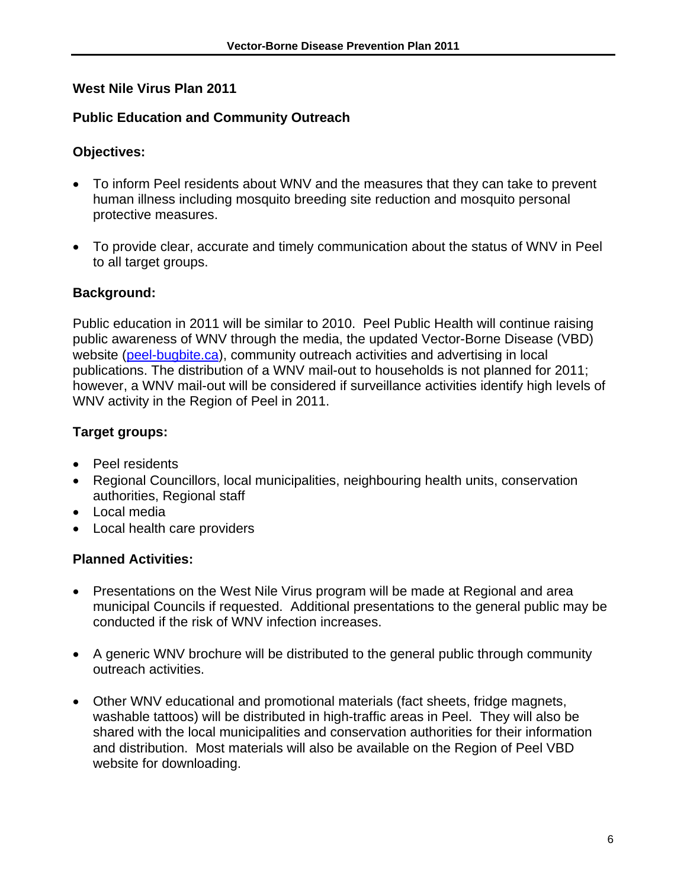## **West Nile Virus Plan 2011**

#### **Public Education and Community Outreach**

#### **Objectives:**

- To inform Peel residents about WNV and the measures that they can take to prevent human illness including mosquito breeding site reduction and mosquito personal protective measures.
- To provide clear, accurate and timely communication about the status of WNV in Peel to all target groups.

## **Background:**

Public education in 2011 will be similar to 2010. Peel Public Health will continue raising public awareness of WNV through the media, the updated Vector-Borne Disease (VBD) website (peel-bugbite.ca), community outreach activities and advertising in local publications. The distribution of a WNV mail-out to households is not planned for 2011; however, a WNV mail-out will be considered if surveillance activities identify high levels of WNV activity in the Region of Peel in 2011.

## **Target groups:**

- Peel residents
- Regional Councillors, local municipalities, neighbouring health units, conservation authorities, Regional staff
- Local media
- Local health care providers

- Presentations on the West Nile Virus program will be made at Regional and area municipal Councils if requested. Additional presentations to the general public may be conducted if the risk of WNV infection increases.
- A generic WNV brochure will be distributed to the general public through community outreach activities.
- Other WNV educational and promotional materials (fact sheets, fridge magnets, washable tattoos) will be distributed in high-traffic areas in Peel. They will also be shared with the local municipalities and conservation authorities for their information and distribution. Most materials will also be available on the Region of Peel VBD website for downloading.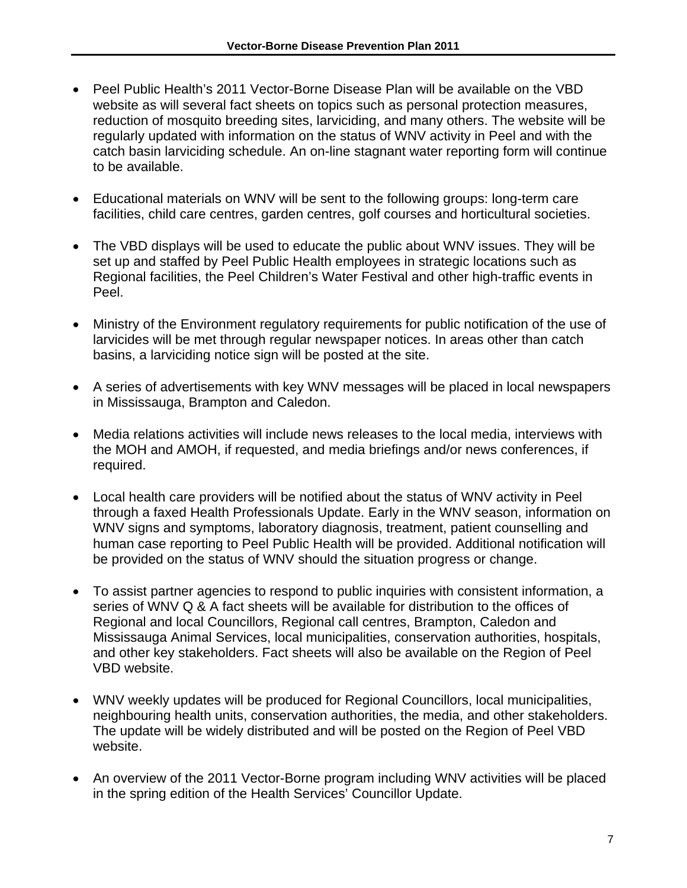- Peel Public Health's 2011 Vector-Borne Disease Plan will be available on the VBD website as will several fact sheets on topics such as personal protection measures, reduction of mosquito breeding sites, larviciding, and many others. The website will be regularly updated with information on the status of WNV activity in Peel and with the catch basin larviciding schedule. An on-line stagnant water reporting form will continue to be available.
- Educational materials on WNV will be sent to the following groups: long-term care facilities, child care centres, garden centres, golf courses and horticultural societies.
- The VBD displays will be used to educate the public about WNV issues. They will be set up and staffed by Peel Public Health employees in strategic locations such as Regional facilities, the Peel Children's Water Festival and other high-traffic events in Peel.
- Ministry of the Environment regulatory requirements for public notification of the use of larvicides will be met through regular newspaper notices. In areas other than catch basins, a larviciding notice sign will be posted at the site.
- A series of advertisements with key WNV messages will be placed in local newspapers in Mississauga, Brampton and Caledon.
- Media relations activities will include news releases to the local media, interviews with the MOH and AMOH, if requested, and media briefings and/or news conferences, if required.
- Local health care providers will be notified about the status of WNV activity in Peel through a faxed Health Professionals Update. Early in the WNV season, information on WNV signs and symptoms, laboratory diagnosis, treatment, patient counselling and human case reporting to Peel Public Health will be provided. Additional notification will be provided on the status of WNV should the situation progress or change.
- To assist partner agencies to respond to public inquiries with consistent information, a series of WNV Q & A fact sheets will be available for distribution to the offices of Regional and local Councillors, Regional call centres, Brampton, Caledon and Mississauga Animal Services, local municipalities, conservation authorities, hospitals, and other key stakeholders. Fact sheets will also be available on the Region of Peel VBD website.
- WNV weekly updates will be produced for Regional Councillors, local municipalities, neighbouring health units, conservation authorities, the media, and other stakeholders. The update will be widely distributed and will be posted on the Region of Peel VBD website.
- An overview of the 2011 Vector-Borne program including WNV activities will be placed in the spring edition of the Health Services' Councillor Update.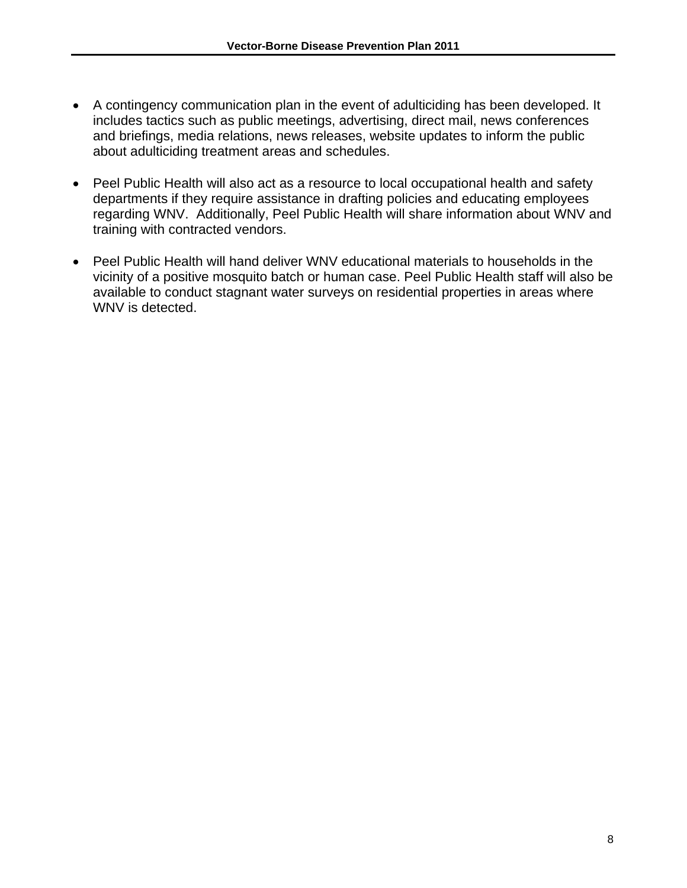- A contingency communication plan in the event of adulticiding has been developed. It includes tactics such as public meetings, advertising, direct mail, news conferences and briefings, media relations, news releases, website updates to inform the public about adulticiding treatment areas and schedules.
- Peel Public Health will also act as a resource to local occupational health and safety departments if they require assistance in drafting policies and educating employees regarding WNV. Additionally, Peel Public Health will share information about WNV and training with contracted vendors.
- Peel Public Health will hand deliver WNV educational materials to households in the vicinity of a positive mosquito batch or human case. Peel Public Health staff will also be available to conduct stagnant water surveys on residential properties in areas where WNV is detected.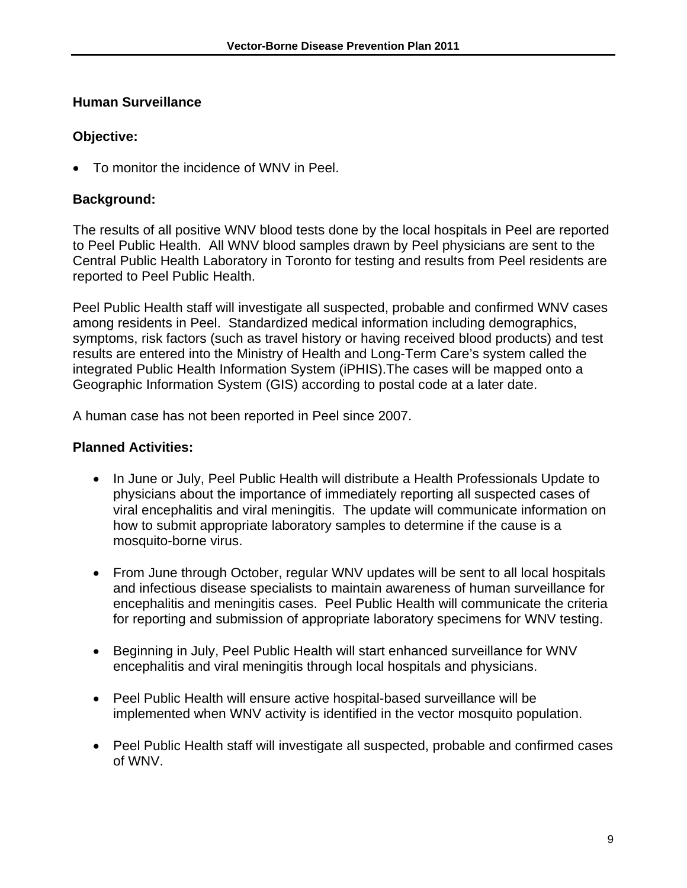#### **Human Surveillance**

## **Objective:**

To monitor the incidence of WNV in Peel.

## **Background:**

The results of all positive WNV blood tests done by the local hospitals in Peel are reported to Peel Public Health. All WNV blood samples drawn by Peel physicians are sent to the Central Public Health Laboratory in Toronto for testing and results from Peel residents are reported to Peel Public Health.

Peel Public Health staff will investigate all suspected, probable and confirmed WNV cases among residents in Peel. Standardized medical information including demographics, symptoms, risk factors (such as travel history or having received blood products) and test results are entered into the Ministry of Health and Long-Term Care's system called the integrated Public Health Information System (iPHIS).The cases will be mapped onto a Geographic Information System (GIS) according to postal code at a later date.

A human case has not been reported in Peel since 2007.

- In June or July, Peel Public Health will distribute a Health Professionals Update to physicians about the importance of immediately reporting all suspected cases of viral encephalitis and viral meningitis. The update will communicate information on how to submit appropriate laboratory samples to determine if the cause is a mosquito-borne virus.
- From June through October, regular WNV updates will be sent to all local hospitals and infectious disease specialists to maintain awareness of human surveillance for encephalitis and meningitis cases. Peel Public Health will communicate the criteria for reporting and submission of appropriate laboratory specimens for WNV testing.
- Beginning in July, Peel Public Health will start enhanced surveillance for WNV encephalitis and viral meningitis through local hospitals and physicians.
- Peel Public Health will ensure active hospital-based surveillance will be implemented when WNV activity is identified in the vector mosquito population.
- Peel Public Health staff will investigate all suspected, probable and confirmed cases of WNV.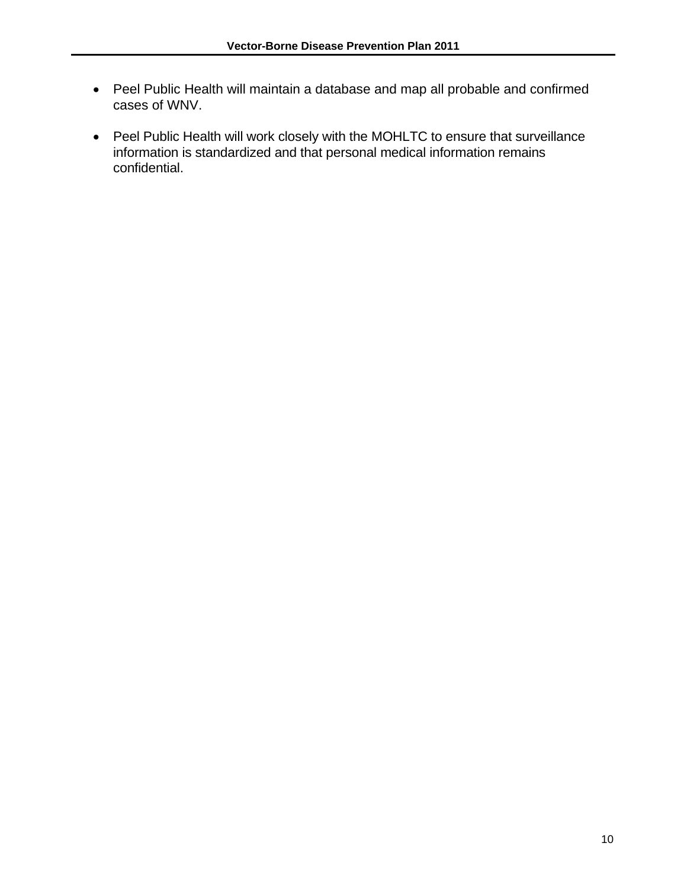- Peel Public Health will maintain a database and map all probable and confirmed cases of WNV.
- Peel Public Health will work closely with the MOHLTC to ensure that surveillance information is standardized and that personal medical information remains confidential.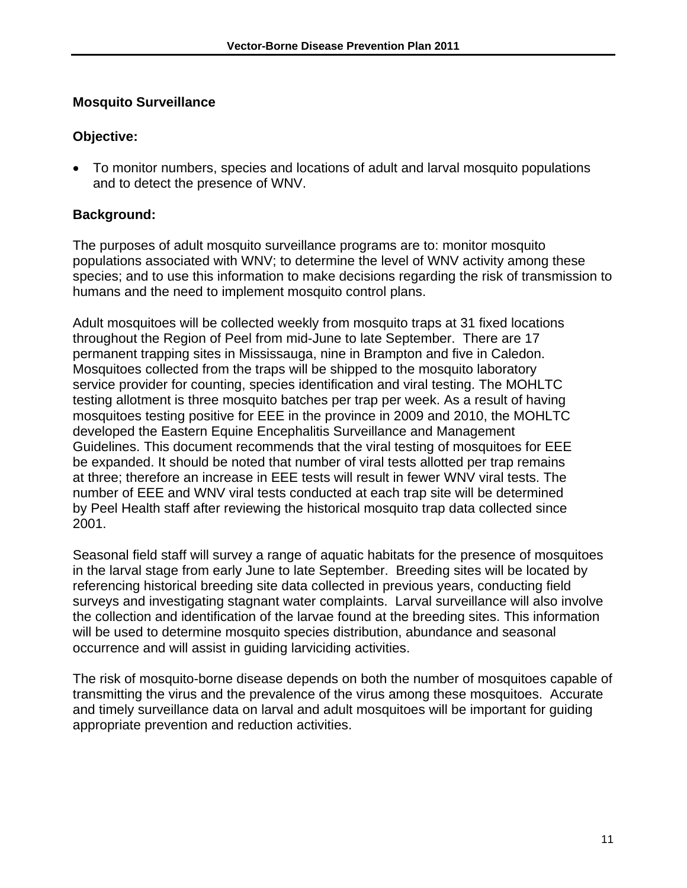#### **Mosquito Surveillance**

#### **Objective:**

 To monitor numbers, species and locations of adult and larval mosquito populations and to detect the presence of WNV.

#### **Background:**

The purposes of adult mosquito surveillance programs are to: monitor mosquito populations associated with WNV; to determine the level of WNV activity among these species; and to use this information to make decisions regarding the risk of transmission to humans and the need to implement mosquito control plans.

Adult mosquitoes will be collected weekly from mosquito traps at 31 fixed locations throughout the Region of Peel from mid-June to late September. There are 17 permanent trapping sites in Mississauga, nine in Brampton and five in Caledon. Mosquitoes collected from the traps will be shipped to the mosquito laboratory service provider for counting, species identification and viral testing. The MOHLTC testing allotment is three mosquito batches per trap per week. As a result of having mosquitoes testing positive for EEE in the province in 2009 and 2010, the MOHLTC developed the Eastern Equine Encephalitis Surveillance and Management Guidelines. This document recommends that the viral testing of mosquitoes for EEE be expanded. It should be noted that number of viral tests allotted per trap remains at three; therefore an increase in EEE tests will result in fewer WNV viral tests. The number of EEE and WNV viral tests conducted at each trap site will be determined by Peel Health staff after reviewing the historical mosquito trap data collected since 2001.

Seasonal field staff will survey a range of aquatic habitats for the presence of mosquitoes in the larval stage from early June to late September. Breeding sites will be located by referencing historical breeding site data collected in previous years, conducting field surveys and investigating stagnant water complaints. Larval surveillance will also involve the collection and identification of the larvae found at the breeding sites. This information will be used to determine mosquito species distribution, abundance and seasonal occurrence and will assist in guiding larviciding activities.

The risk of mosquito-borne disease depends on both the number of mosquitoes capable of transmitting the virus and the prevalence of the virus among these mosquitoes. Accurate and timely surveillance data on larval and adult mosquitoes will be important for guiding appropriate prevention and reduction activities.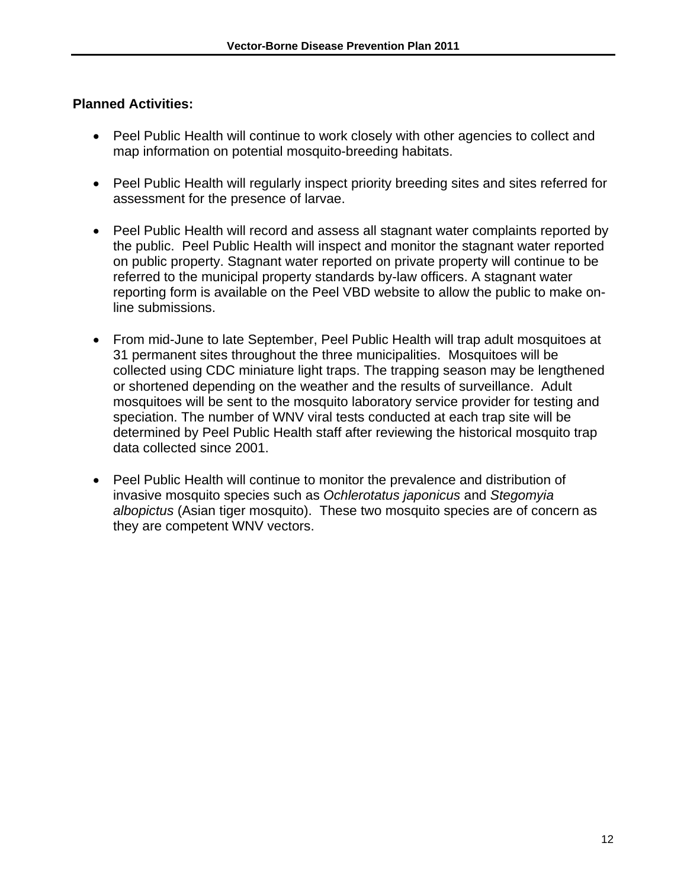- Peel Public Health will continue to work closely with other agencies to collect and map information on potential mosquito-breeding habitats.
- Peel Public Health will regularly inspect priority breeding sites and sites referred for assessment for the presence of larvae.
- Peel Public Health will record and assess all stagnant water complaints reported by the public. Peel Public Health will inspect and monitor the stagnant water reported on public property. Stagnant water reported on private property will continue to be referred to the municipal property standards by-law officers. A stagnant water reporting form is available on the Peel VBD website to allow the public to make online submissions.
- From mid-June to late September, Peel Public Health will trap adult mosquitoes at 31 permanent sites throughout the three municipalities. Mosquitoes will be collected using CDC miniature light traps. The trapping season may be lengthened or shortened depending on the weather and the results of surveillance. Adult mosquitoes will be sent to the mosquito laboratory service provider for testing and speciation. The number of WNV viral tests conducted at each trap site will be determined by Peel Public Health staff after reviewing the historical mosquito trap data collected since 2001.
- Peel Public Health will continue to monitor the prevalence and distribution of invasive mosquito species such as *Ochlerotatus japonicus* and *Stegomyia albopictus* (Asian tiger mosquito). These two mosquito species are of concern as they are competent WNV vectors.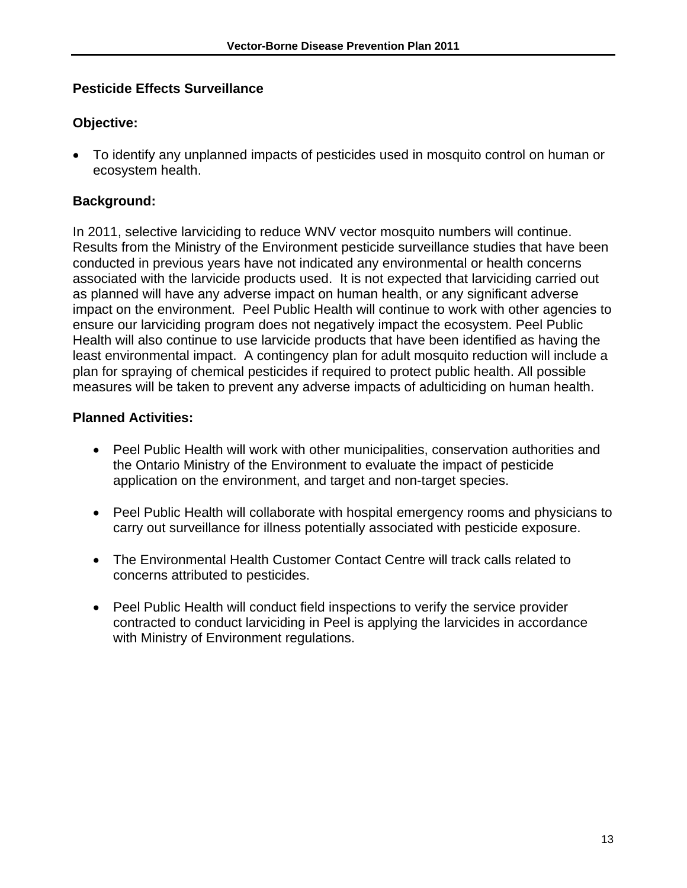## **Pesticide Effects Surveillance**

# **Objective:**

 To identify any unplanned impacts of pesticides used in mosquito control on human or ecosystem health.

# **Background:**

In 2011, selective larviciding to reduce WNV vector mosquito numbers will continue. Results from the Ministry of the Environment pesticide surveillance studies that have been conducted in previous years have not indicated any environmental or health concerns associated with the larvicide products used. It is not expected that larviciding carried out as planned will have any adverse impact on human health, or any significant adverse impact on the environment. Peel Public Health will continue to work with other agencies to ensure our larviciding program does not negatively impact the ecosystem. Peel Public Health will also continue to use larvicide products that have been identified as having the least environmental impact. A contingency plan for adult mosquito reduction will include a plan for spraying of chemical pesticides if required to protect public health. All possible measures will be taken to prevent any adverse impacts of adulticiding on human health.

- Peel Public Health will work with other municipalities, conservation authorities and the Ontario Ministry of the Environment to evaluate the impact of pesticide application on the environment, and target and non-target species.
- Peel Public Health will collaborate with hospital emergency rooms and physicians to carry out surveillance for illness potentially associated with pesticide exposure.
- The Environmental Health Customer Contact Centre will track calls related to concerns attributed to pesticides.
- Peel Public Health will conduct field inspections to verify the service provider contracted to conduct larviciding in Peel is applying the larvicides in accordance with Ministry of Environment regulations.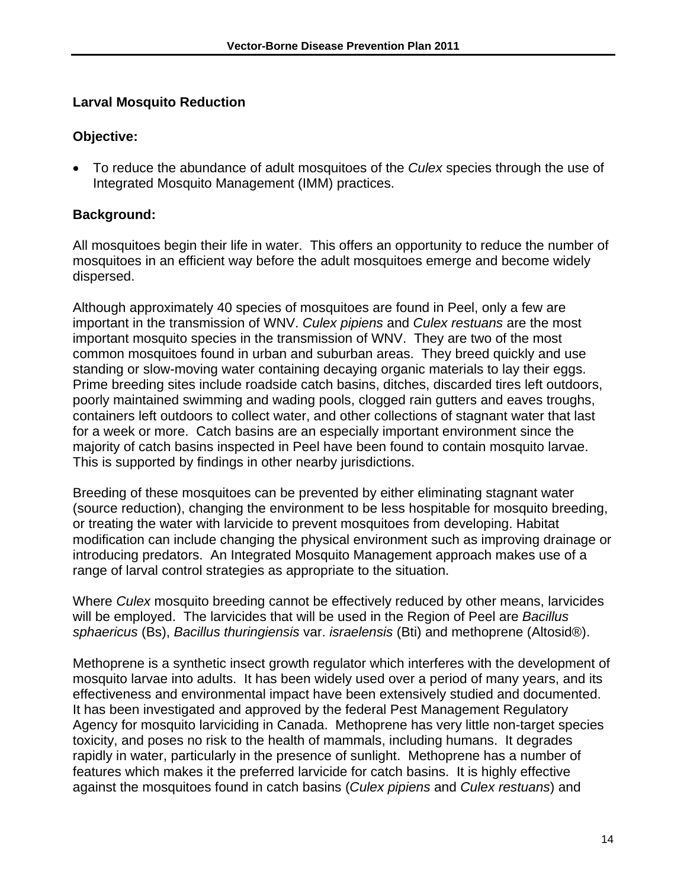## **Larval Mosquito Reduction**

#### **Objective:**

 To reduce the abundance of adult mosquitoes of the *Culex* species through the use of Integrated Mosquito Management (IMM) practices.

# **Background:**

All mosquitoes begin their life in water. This offers an opportunity to reduce the number of mosquitoes in an efficient way before the adult mosquitoes emerge and become widely dispersed.

Although approximately 40 species of mosquitoes are found in Peel, only a few are important in the transmission of WNV. *Culex pipiens* and *Culex restuans* are the most important mosquito species in the transmission of WNV. They are two of the most common mosquitoes found in urban and suburban areas. They breed quickly and use standing or slow-moving water containing decaying organic materials to lay their eggs. Prime breeding sites include roadside catch basins, ditches, discarded tires left outdoors, poorly maintained swimming and wading pools, clogged rain gutters and eaves troughs, containers left outdoors to collect water, and other collections of stagnant water that last for a week or more. Catch basins are an especially important environment since the majority of catch basins inspected in Peel have been found to contain mosquito larvae. This is supported by findings in other nearby jurisdictions.

Breeding of these mosquitoes can be prevented by either eliminating stagnant water (source reduction), changing the environment to be less hospitable for mosquito breeding, or treating the water with larvicide to prevent mosquitoes from developing. Habitat modification can include changing the physical environment such as improving drainage or introducing predators. An Integrated Mosquito Management approach makes use of a range of larval control strategies as appropriate to the situation.

Where *Culex* mosquito breeding cannot be effectively reduced by other means, larvicides will be employed. The larvicides that will be used in the Region of Peel are *Bacillus sphaericus* (Bs), *Bacillus thuringiensis* var. *israelensis* (Bti) and methoprene (Altosid®).

Methoprene is a synthetic insect growth regulator which interferes with the development of mosquito larvae into adults. It has been widely used over a period of many years, and its effectiveness and environmental impact have been extensively studied and documented. It has been investigated and approved by the federal Pest Management Regulatory Agency for mosquito larviciding in Canada. Methoprene has very little non-target species toxicity, and poses no risk to the health of mammals, including humans. It degrades rapidly in water, particularly in the presence of sunlight. Methoprene has a number of features which makes it the preferred larvicide for catch basins. It is highly effective against the mosquitoes found in catch basins (*Culex pipiens* and *Culex restuans*) and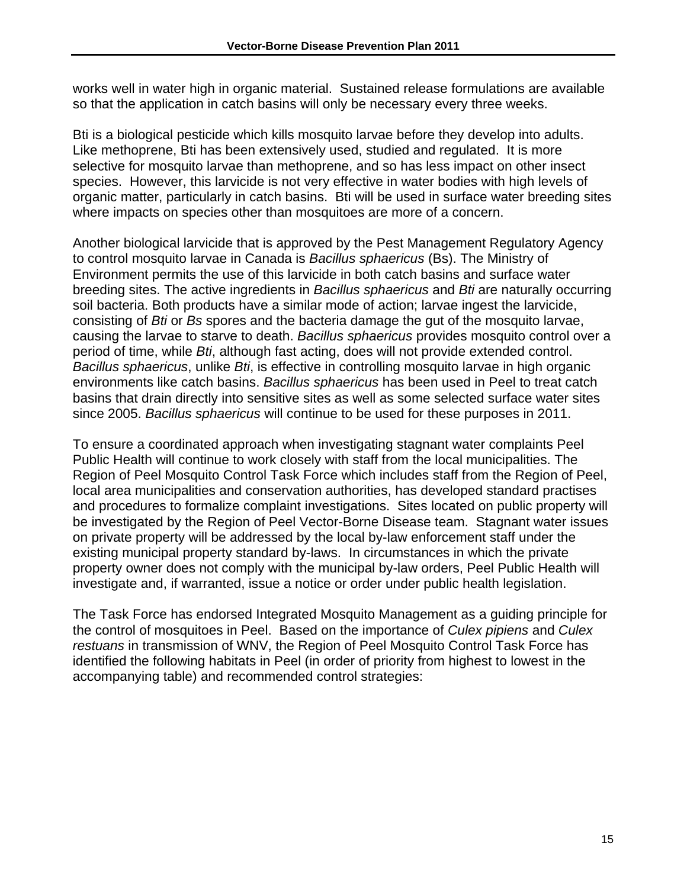works well in water high in organic material. Sustained release formulations are available so that the application in catch basins will only be necessary every three weeks.

Bti is a biological pesticide which kills mosquito larvae before they develop into adults. Like methoprene, Bti has been extensively used, studied and regulated. It is more selective for mosquito larvae than methoprene, and so has less impact on other insect species. However, this larvicide is not very effective in water bodies with high levels of organic matter, particularly in catch basins. Bti will be used in surface water breeding sites where impacts on species other than mosquitoes are more of a concern.

Another biological larvicide that is approved by the Pest Management Regulatory Agency to control mosquito larvae in Canada is *Bacillus sphaericus* (Bs). The Ministry of Environment permits the use of this larvicide in both catch basins and surface water breeding sites. The active ingredients in *Bacillus sphaericus* and *Bti* are naturally occurring soil bacteria. Both products have a similar mode of action; larvae ingest the larvicide, consisting of *Bti* or *Bs* spores and the bacteria damage the gut of the mosquito larvae, causing the larvae to starve to death. *Bacillus sphaericus* provides mosquito control over a period of time, while *Bti*, although fast acting, does will not provide extended control. *Bacillus sphaericus*, unlike *Bti*, is effective in controlling mosquito larvae in high organic environments like catch basins. *Bacillus sphaericus* has been used in Peel to treat catch basins that drain directly into sensitive sites as well as some selected surface water sites since 2005. *Bacillus sphaericus* will continue to be used for these purposes in 2011.

To ensure a coordinated approach when investigating stagnant water complaints Peel Public Health will continue to work closely with staff from the local municipalities. The Region of Peel Mosquito Control Task Force which includes staff from the Region of Peel, local area municipalities and conservation authorities, has developed standard practises and procedures to formalize complaint investigations. Sites located on public property will be investigated by the Region of Peel Vector-Borne Disease team. Stagnant water issues on private property will be addressed by the local by-law enforcement staff under the existing municipal property standard by-laws. In circumstances in which the private property owner does not comply with the municipal by-law orders, Peel Public Health will investigate and, if warranted, issue a notice or order under public health legislation.

The Task Force has endorsed Integrated Mosquito Management as a guiding principle for the control of mosquitoes in Peel. Based on the importance of *Culex pipiens* and *Culex restuans* in transmission of WNV, the Region of Peel Mosquito Control Task Force has identified the following habitats in Peel (in order of priority from highest to lowest in the accompanying table) and recommended control strategies: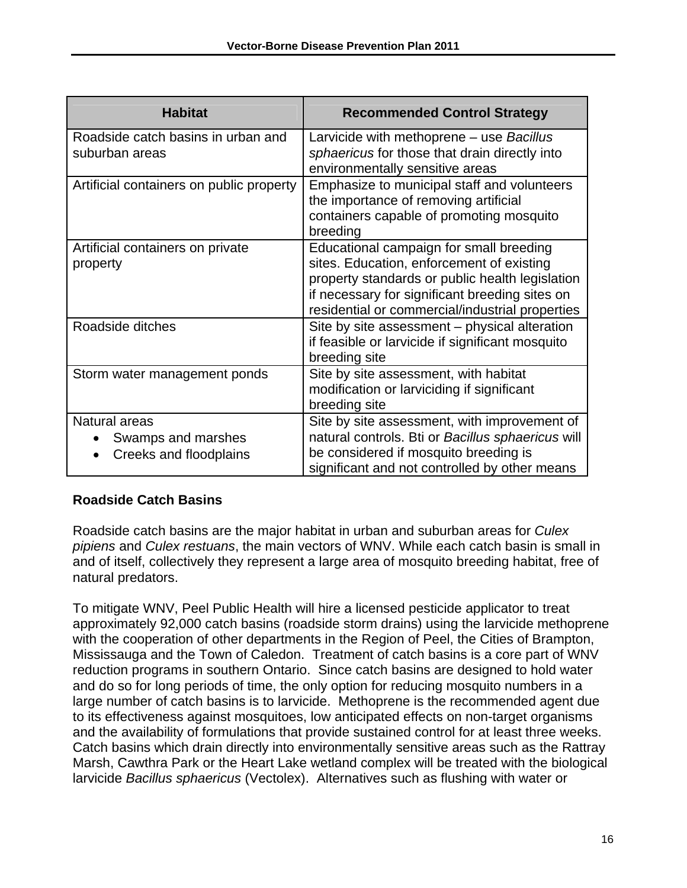| <b>Habitat</b>                                                             | <b>Recommended Control Strategy</b>                                                                                                                                                                                                          |
|----------------------------------------------------------------------------|----------------------------------------------------------------------------------------------------------------------------------------------------------------------------------------------------------------------------------------------|
| Roadside catch basins in urban and<br>suburban areas                       | Larvicide with methoprene - use Bacillus<br>sphaericus for those that drain directly into<br>environmentally sensitive areas                                                                                                                 |
| Artificial containers on public property                                   | Emphasize to municipal staff and volunteers<br>the importance of removing artificial<br>containers capable of promoting mosquito<br>breeding                                                                                                 |
| Artificial containers on private<br>property                               | Educational campaign for small breeding<br>sites. Education, enforcement of existing<br>property standards or public health legislation<br>if necessary for significant breeding sites on<br>residential or commercial/industrial properties |
| Roadside ditches                                                           | Site by site assessment – physical alteration<br>if feasible or larvicide if significant mosquito<br>breeding site                                                                                                                           |
| Storm water management ponds                                               | Site by site assessment, with habitat<br>modification or larviciding if significant<br>breeding site                                                                                                                                         |
| Natural areas<br>Swamps and marshes<br>$\bullet$<br>Creeks and floodplains | Site by site assessment, with improvement of<br>natural controls. Bti or Bacillus sphaericus will<br>be considered if mosquito breeding is<br>significant and not controlled by other means                                                  |

#### **Roadside Catch Basins**

Roadside catch basins are the major habitat in urban and suburban areas for *Culex pipiens* and *Culex restuans*, the main vectors of WNV. While each catch basin is small in and of itself, collectively they represent a large area of mosquito breeding habitat, free of natural predators.

To mitigate WNV, Peel Public Health will hire a licensed pesticide applicator to treat approximately 92,000 catch basins (roadside storm drains) using the larvicide methoprene with the cooperation of other departments in the Region of Peel, the Cities of Brampton, Mississauga and the Town of Caledon. Treatment of catch basins is a core part of WNV reduction programs in southern Ontario. Since catch basins are designed to hold water and do so for long periods of time, the only option for reducing mosquito numbers in a large number of catch basins is to larvicide. Methoprene is the recommended agent due to its effectiveness against mosquitoes, low anticipated effects on non-target organisms and the availability of formulations that provide sustained control for at least three weeks. Catch basins which drain directly into environmentally sensitive areas such as the Rattray Marsh, Cawthra Park or the Heart Lake wetland complex will be treated with the biological larvicide *Bacillus sphaericus* (Vectolex). Alternatives such as flushing with water or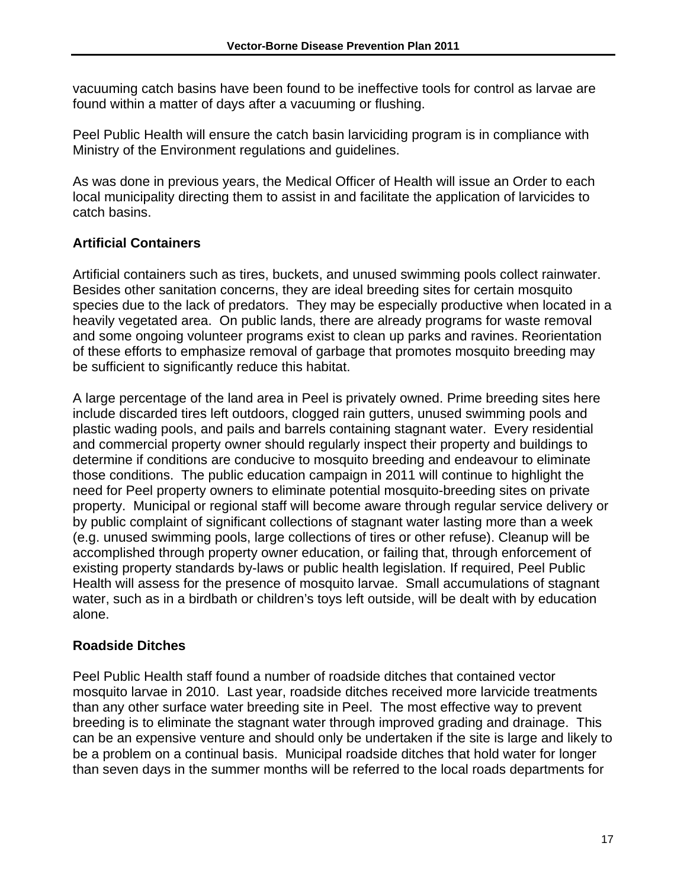vacuuming catch basins have been found to be ineffective tools for control as larvae are found within a matter of days after a vacuuming or flushing.

Peel Public Health will ensure the catch basin larviciding program is in compliance with Ministry of the Environment regulations and guidelines.

As was done in previous years, the Medical Officer of Health will issue an Order to each local municipality directing them to assist in and facilitate the application of larvicides to catch basins.

# **Artificial Containers**

Artificial containers such as tires, buckets, and unused swimming pools collect rainwater. Besides other sanitation concerns, they are ideal breeding sites for certain mosquito species due to the lack of predators. They may be especially productive when located in a heavily vegetated area. On public lands, there are already programs for waste removal and some ongoing volunteer programs exist to clean up parks and ravines. Reorientation of these efforts to emphasize removal of garbage that promotes mosquito breeding may be sufficient to significantly reduce this habitat.

A large percentage of the land area in Peel is privately owned. Prime breeding sites here include discarded tires left outdoors, clogged rain gutters, unused swimming pools and plastic wading pools, and pails and barrels containing stagnant water. Every residential and commercial property owner should regularly inspect their property and buildings to determine if conditions are conducive to mosquito breeding and endeavour to eliminate those conditions. The public education campaign in 2011 will continue to highlight the need for Peel property owners to eliminate potential mosquito-breeding sites on private property. Municipal or regional staff will become aware through regular service delivery or by public complaint of significant collections of stagnant water lasting more than a week (e.g. unused swimming pools, large collections of tires or other refuse). Cleanup will be accomplished through property owner education, or failing that, through enforcement of existing property standards by-laws or public health legislation. If required, Peel Public Health will assess for the presence of mosquito larvae. Small accumulations of stagnant water, such as in a birdbath or children's toys left outside, will be dealt with by education alone.

# **Roadside Ditches**

Peel Public Health staff found a number of roadside ditches that contained vector mosquito larvae in 2010. Last year, roadside ditches received more larvicide treatments than any other surface water breeding site in Peel. The most effective way to prevent breeding is to eliminate the stagnant water through improved grading and drainage. This can be an expensive venture and should only be undertaken if the site is large and likely to be a problem on a continual basis. Municipal roadside ditches that hold water for longer than seven days in the summer months will be referred to the local roads departments for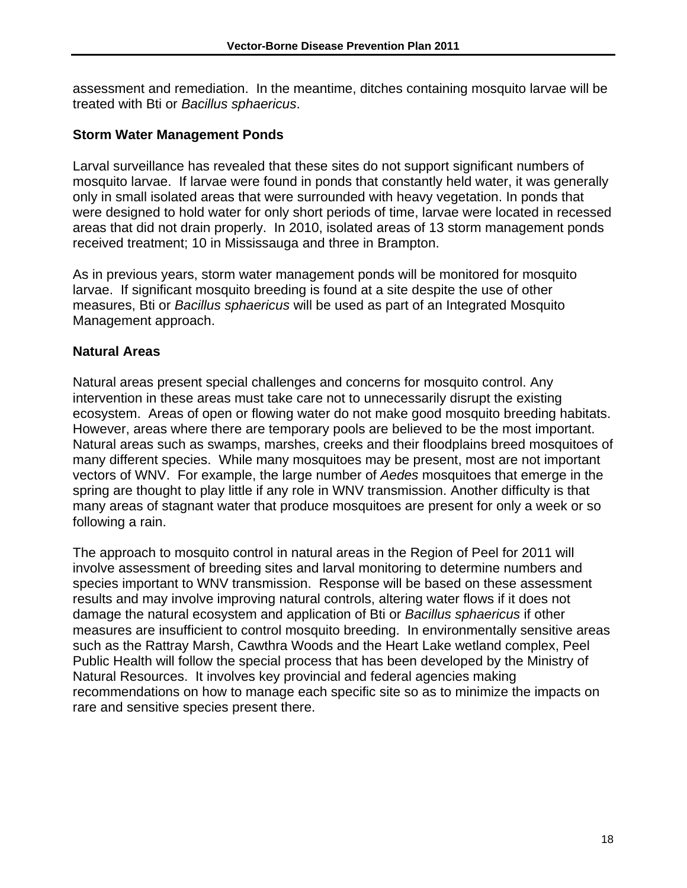assessment and remediation. In the meantime, ditches containing mosquito larvae will be treated with Bti or *Bacillus sphaericus*.

#### **Storm Water Management Ponds**

Larval surveillance has revealed that these sites do not support significant numbers of mosquito larvae. If larvae were found in ponds that constantly held water, it was generally only in small isolated areas that were surrounded with heavy vegetation. In ponds that were designed to hold water for only short periods of time, larvae were located in recessed areas that did not drain properly. In 2010, isolated areas of 13 storm management ponds received treatment; 10 in Mississauga and three in Brampton.

As in previous years, storm water management ponds will be monitored for mosquito larvae. If significant mosquito breeding is found at a site despite the use of other measures, Bti or *Bacillus sphaericus* will be used as part of an Integrated Mosquito Management approach.

#### **Natural Areas**

Natural areas present special challenges and concerns for mosquito control. Any intervention in these areas must take care not to unnecessarily disrupt the existing ecosystem. Areas of open or flowing water do not make good mosquito breeding habitats. However, areas where there are temporary pools are believed to be the most important. Natural areas such as swamps, marshes, creeks and their floodplains breed mosquitoes of many different species. While many mosquitoes may be present, most are not important vectors of WNV. For example, the large number of *Aedes* mosquitoes that emerge in the spring are thought to play little if any role in WNV transmission. Another difficulty is that many areas of stagnant water that produce mosquitoes are present for only a week or so following a rain.

The approach to mosquito control in natural areas in the Region of Peel for 2011 will involve assessment of breeding sites and larval monitoring to determine numbers and species important to WNV transmission. Response will be based on these assessment results and may involve improving natural controls, altering water flows if it does not damage the natural ecosystem and application of Bti or *Bacillus sphaericus* if other measures are insufficient to control mosquito breeding. In environmentally sensitive areas such as the Rattray Marsh, Cawthra Woods and the Heart Lake wetland complex, Peel Public Health will follow the special process that has been developed by the Ministry of Natural Resources. It involves key provincial and federal agencies making recommendations on how to manage each specific site so as to minimize the impacts on rare and sensitive species present there.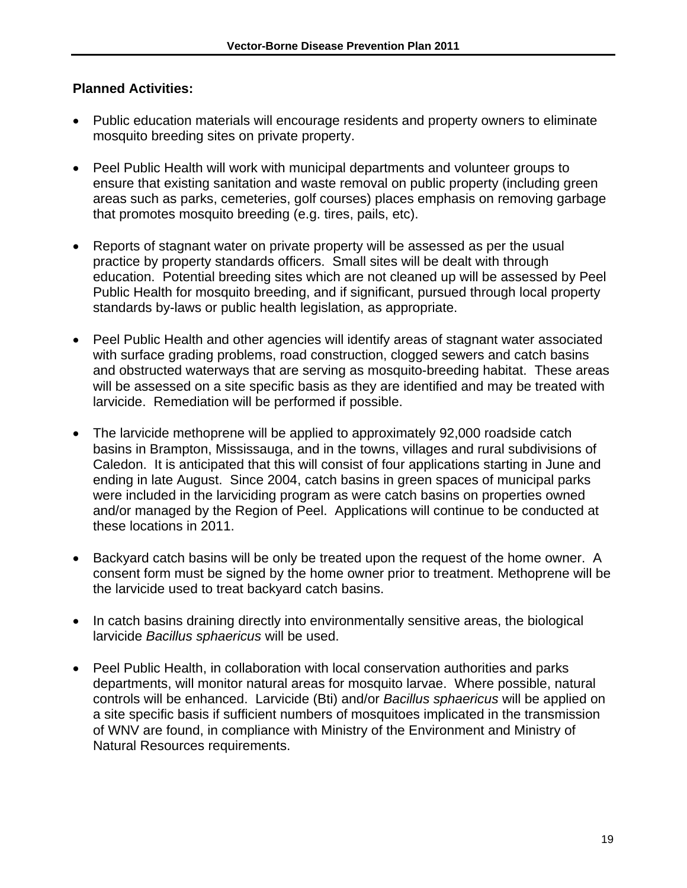- Public education materials will encourage residents and property owners to eliminate mosquito breeding sites on private property.
- Peel Public Health will work with municipal departments and volunteer groups to ensure that existing sanitation and waste removal on public property (including green areas such as parks, cemeteries, golf courses) places emphasis on removing garbage that promotes mosquito breeding (e.g. tires, pails, etc).
- Reports of stagnant water on private property will be assessed as per the usual practice by property standards officers. Small sites will be dealt with through education. Potential breeding sites which are not cleaned up will be assessed by Peel Public Health for mosquito breeding, and if significant, pursued through local property standards by-laws or public health legislation, as appropriate.
- Peel Public Health and other agencies will identify areas of stagnant water associated with surface grading problems, road construction, clogged sewers and catch basins and obstructed waterways that are serving as mosquito-breeding habitat. These areas will be assessed on a site specific basis as they are identified and may be treated with larvicide. Remediation will be performed if possible.
- The larvicide methoprene will be applied to approximately 92,000 roadside catch basins in Brampton, Mississauga, and in the towns, villages and rural subdivisions of Caledon. It is anticipated that this will consist of four applications starting in June and ending in late August. Since 2004, catch basins in green spaces of municipal parks were included in the larviciding program as were catch basins on properties owned and/or managed by the Region of Peel. Applications will continue to be conducted at these locations in 2011.
- Backyard catch basins will be only be treated upon the request of the home owner. A consent form must be signed by the home owner prior to treatment. Methoprene will be the larvicide used to treat backyard catch basins.
- In catch basins draining directly into environmentally sensitive areas, the biological larvicide *Bacillus sphaericus* will be used.
- Peel Public Health, in collaboration with local conservation authorities and parks departments, will monitor natural areas for mosquito larvae. Where possible, natural controls will be enhanced. Larvicide (Bti) and/or *Bacillus sphaericus* will be applied on a site specific basis if sufficient numbers of mosquitoes implicated in the transmission of WNV are found, in compliance with Ministry of the Environment and Ministry of Natural Resources requirements.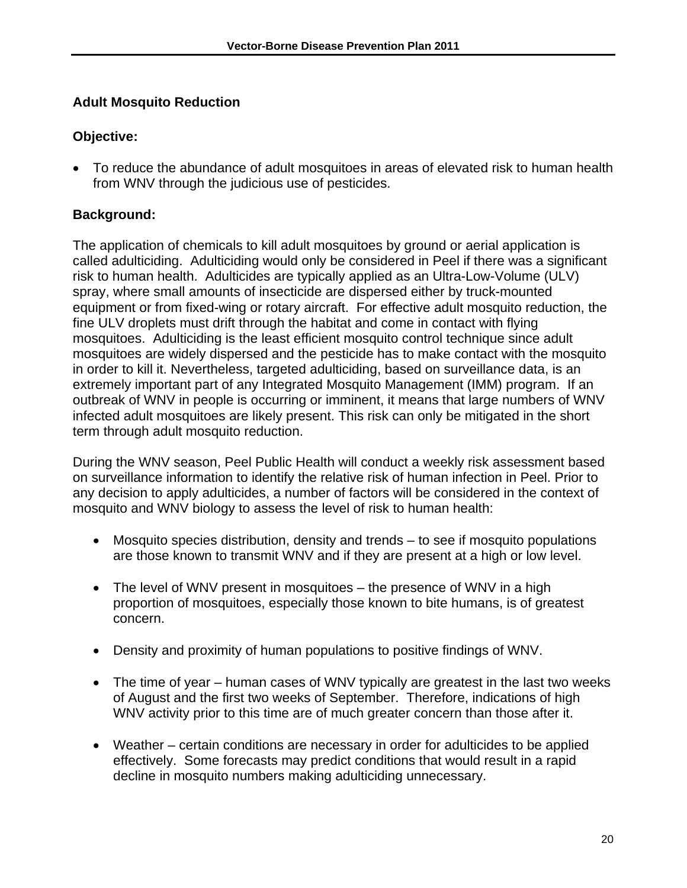# **Adult Mosquito Reduction**

#### **Objective:**

 To reduce the abundance of adult mosquitoes in areas of elevated risk to human health from WNV through the judicious use of pesticides.

# **Background:**

The application of chemicals to kill adult mosquitoes by ground or aerial application is called adulticiding. Adulticiding would only be considered in Peel if there was a significant risk to human health. Adulticides are typically applied as an Ultra-Low-Volume (ULV) spray, where small amounts of insecticide are dispersed either by truck-mounted equipment or from fixed-wing or rotary aircraft. For effective adult mosquito reduction, the fine ULV droplets must drift through the habitat and come in contact with flying mosquitoes. Adulticiding is the least efficient mosquito control technique since adult mosquitoes are widely dispersed and the pesticide has to make contact with the mosquito in order to kill it. Nevertheless, targeted adulticiding, based on surveillance data, is an extremely important part of any Integrated Mosquito Management (IMM) program. If an outbreak of WNV in people is occurring or imminent, it means that large numbers of WNV infected adult mosquitoes are likely present. This risk can only be mitigated in the short term through adult mosquito reduction.

During the WNV season, Peel Public Health will conduct a weekly risk assessment based on surveillance information to identify the relative risk of human infection in Peel. Prior to any decision to apply adulticides, a number of factors will be considered in the context of mosquito and WNV biology to assess the level of risk to human health:

- Mosquito species distribution, density and trends to see if mosquito populations are those known to transmit WNV and if they are present at a high or low level.
- The level of WNV present in mosquitoes the presence of WNV in a high proportion of mosquitoes, especially those known to bite humans, is of greatest concern.
- Density and proximity of human populations to positive findings of WNV.
- The time of year human cases of WNV typically are greatest in the last two weeks of August and the first two weeks of September. Therefore, indications of high WNV activity prior to this time are of much greater concern than those after it.
- Weather certain conditions are necessary in order for adulticides to be applied effectively. Some forecasts may predict conditions that would result in a rapid decline in mosquito numbers making adulticiding unnecessary.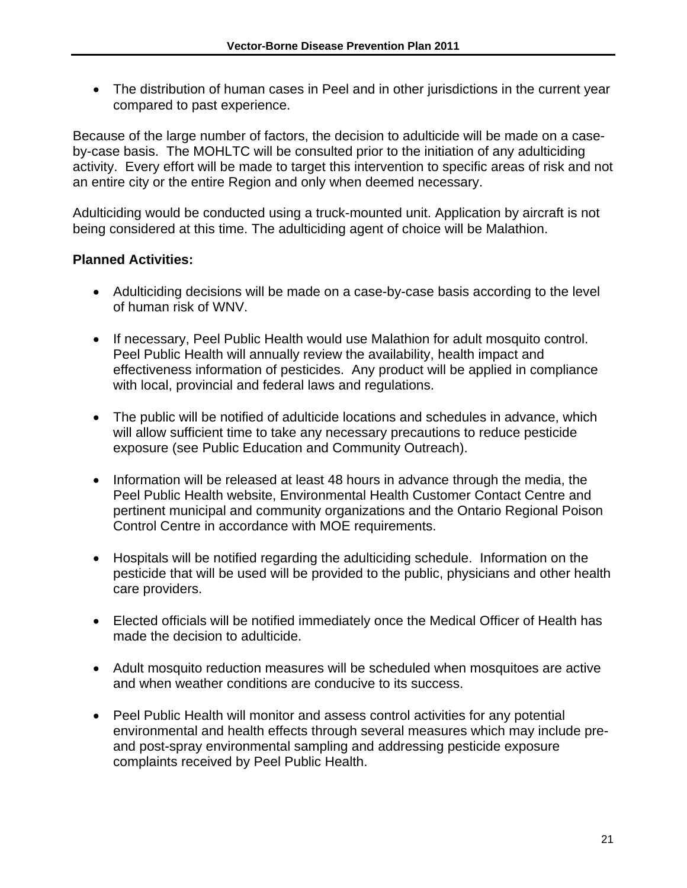The distribution of human cases in Peel and in other jurisdictions in the current year compared to past experience.

Because of the large number of factors, the decision to adulticide will be made on a caseby-case basis. The MOHLTC will be consulted prior to the initiation of any adulticiding activity. Every effort will be made to target this intervention to specific areas of risk and not an entire city or the entire Region and only when deemed necessary.

Adulticiding would be conducted using a truck-mounted unit. Application by aircraft is not being considered at this time. The adulticiding agent of choice will be Malathion.

- Adulticiding decisions will be made on a case-by-case basis according to the level of human risk of WNV.
- If necessary, Peel Public Health would use Malathion for adult mosquito control. Peel Public Health will annually review the availability, health impact and effectiveness information of pesticides. Any product will be applied in compliance with local, provincial and federal laws and regulations.
- The public will be notified of adulticide locations and schedules in advance, which will allow sufficient time to take any necessary precautions to reduce pesticide exposure (see Public Education and Community Outreach).
- Information will be released at least 48 hours in advance through the media, the Peel Public Health website, Environmental Health Customer Contact Centre and pertinent municipal and community organizations and the Ontario Regional Poison Control Centre in accordance with MOE requirements.
- Hospitals will be notified regarding the adulticiding schedule. Information on the pesticide that will be used will be provided to the public, physicians and other health care providers.
- Elected officials will be notified immediately once the Medical Officer of Health has made the decision to adulticide.
- Adult mosquito reduction measures will be scheduled when mosquitoes are active and when weather conditions are conducive to its success.
- Peel Public Health will monitor and assess control activities for any potential environmental and health effects through several measures which may include preand post-spray environmental sampling and addressing pesticide exposure complaints received by Peel Public Health.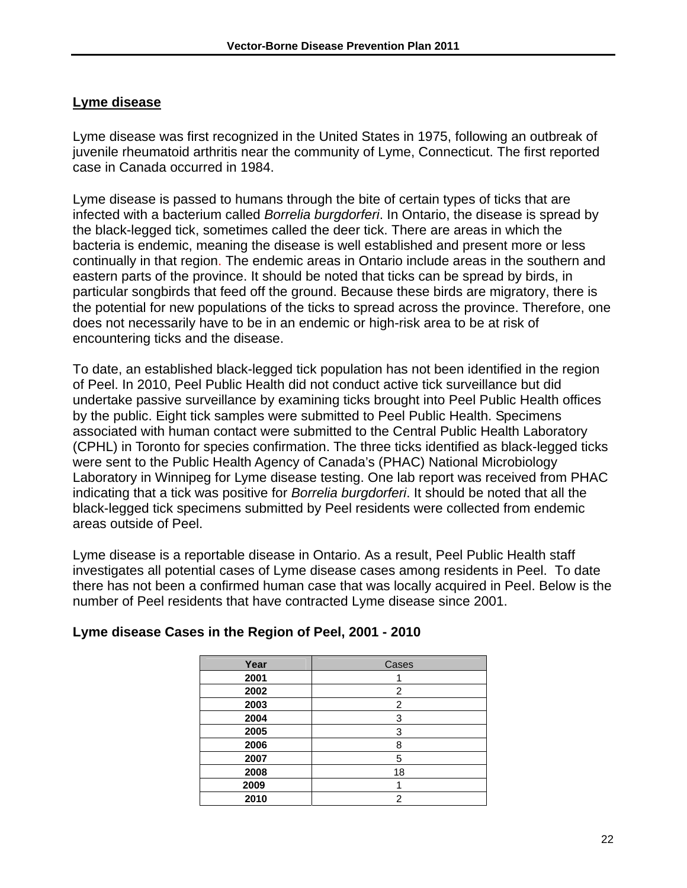#### **Lyme disease**

Lyme disease was first recognized in the United States in 1975, following an outbreak of juvenile rheumatoid arthritis near the community of Lyme, Connecticut. The first reported case in Canada occurred in 1984.

Lyme disease is passed to humans through the bite of certain types of ticks that are infected with a bacterium called *Borrelia burgdorferi*. In Ontario, the disease is spread by the black-legged tick, sometimes called the deer tick. There are areas in which the bacteria is endemic, meaning the disease is well established and present more or less continually in that region. The endemic areas in Ontario include areas in the southern and eastern parts of the province. It should be noted that ticks can be spread by birds, in particular songbirds that feed off the ground. Because these birds are migratory, there is the potential for new populations of the ticks to spread across the province. Therefore, one does not necessarily have to be in an endemic or high-risk area to be at risk of encountering ticks and the disease.

To date, an established black-legged tick population has not been identified in the region of Peel. In 2010, Peel Public Health did not conduct active tick surveillance but did undertake passive surveillance by examining ticks brought into Peel Public Health offices by the public. Eight tick samples were submitted to Peel Public Health. Specimens associated with human contact were submitted to the Central Public Health Laboratory (CPHL) in Toronto for species confirmation. The three ticks identified as black-legged ticks were sent to the Public Health Agency of Canada's (PHAC) National Microbiology Laboratory in Winnipeg for Lyme disease testing. One lab report was received from PHAC indicating that a tick was positive for *Borrelia burgdorferi*. It should be noted that all the black-legged tick specimens submitted by Peel residents were collected from endemic areas outside of Peel.

Lyme disease is a reportable disease in Ontario. As a result, Peel Public Health staff investigates all potential cases of Lyme disease cases among residents in Peel. To date there has not been a confirmed human case that was locally acquired in Peel. Below is the number of Peel residents that have contracted Lyme disease since 2001.

| Year | Cases |
|------|-------|
| 2001 |       |
| 2002 | 2     |
| 2003 | 2     |
| 2004 | 3     |
| 2005 | 3     |
| 2006 | 8     |
| 2007 | 5     |
| 2008 | 18    |
| 2009 |       |
| 2010 | 2     |

#### **Lyme disease Cases in the Region of Peel, 2001 - 2010**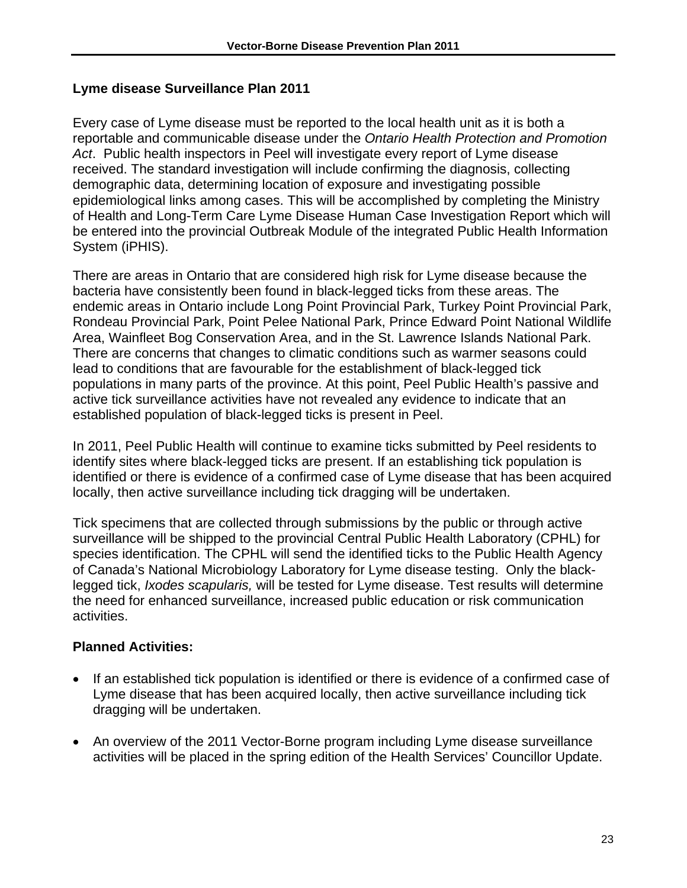#### **Lyme disease Surveillance Plan 2011**

Every case of Lyme disease must be reported to the local health unit as it is both a reportable and communicable disease under the *Ontario Health Protection and Promotion Act*. Public health inspectors in Peel will investigate every report of Lyme disease received. The standard investigation will include confirming the diagnosis, collecting demographic data, determining location of exposure and investigating possible epidemiological links among cases. This will be accomplished by completing the Ministry of Health and Long-Term Care Lyme Disease Human Case Investigation Report which will be entered into the provincial Outbreak Module of the integrated Public Health Information System (iPHIS).

There are areas in Ontario that are considered high risk for Lyme disease because the bacteria have consistently been found in black-legged ticks from these areas. The endemic areas in Ontario include Long Point Provincial Park, Turkey Point Provincial Park, Rondeau Provincial Park, Point Pelee National Park, Prince Edward Point National Wildlife Area, Wainfleet Bog Conservation Area, and in the St. Lawrence Islands National Park. There are concerns that changes to climatic conditions such as warmer seasons could lead to conditions that are favourable for the establishment of black-legged tick populations in many parts of the province. At this point, Peel Public Health's passive and active tick surveillance activities have not revealed any evidence to indicate that an established population of black-legged ticks is present in Peel.

In 2011, Peel Public Health will continue to examine ticks submitted by Peel residents to identify sites where black-legged ticks are present. If an establishing tick population is identified or there is evidence of a confirmed case of Lyme disease that has been acquired locally, then active surveillance including tick dragging will be undertaken.

Tick specimens that are collected through submissions by the public or through active surveillance will be shipped to the provincial Central Public Health Laboratory (CPHL) for species identification. The CPHL will send the identified ticks to the Public Health Agency of Canada's National Microbiology Laboratory for Lyme disease testing. Only the blacklegged tick, *Ixodes scapularis,* will be tested for Lyme disease. Test results will determine the need for enhanced surveillance, increased public education or risk communication activities.

- If an established tick population is identified or there is evidence of a confirmed case of Lyme disease that has been acquired locally, then active surveillance including tick dragging will be undertaken.
- An overview of the 2011 Vector-Borne program including Lyme disease surveillance activities will be placed in the spring edition of the Health Services' Councillor Update.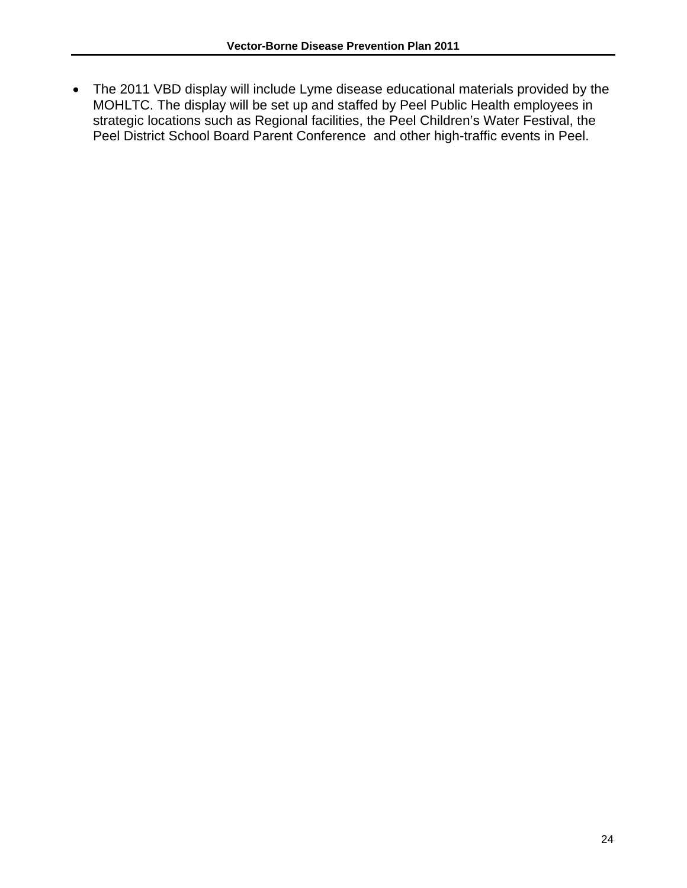The 2011 VBD display will include Lyme disease educational materials provided by the MOHLTC. The display will be set up and staffed by Peel Public Health employees in strategic locations such as Regional facilities, the Peel Children's Water Festival, the Peel District School Board Parent Conference and other high-traffic events in Peel.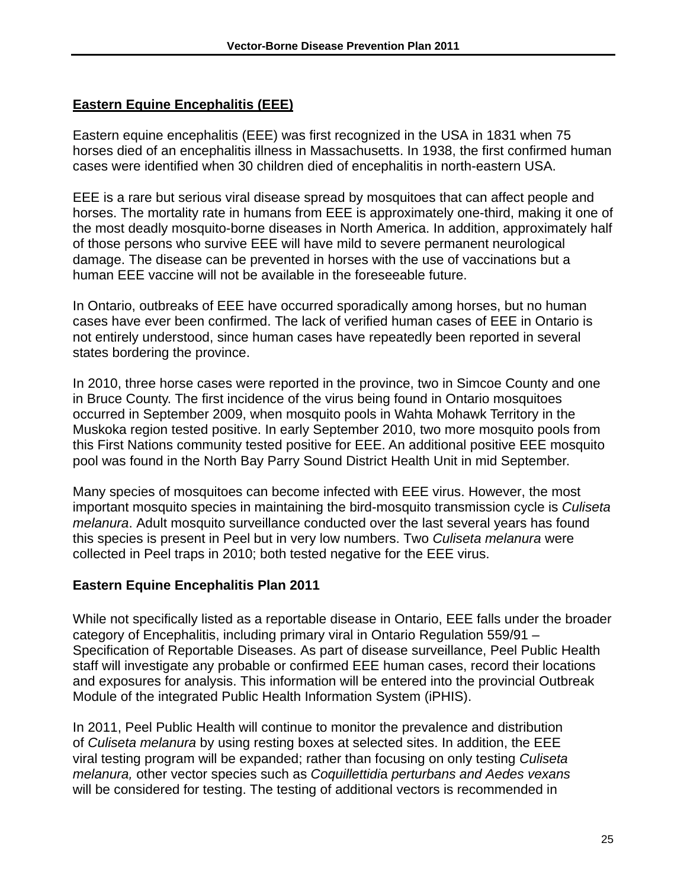# **Eastern Equine Encephalitis (EEE)**

Eastern equine encephalitis (EEE) was first recognized in the USA in 1831 when 75 horses died of an encephalitis illness in Massachusetts. In 1938, the first confirmed human cases were identified when 30 children died of encephalitis in north-eastern USA.

EEE is a rare but serious viral disease spread by mosquitoes that can affect people and horses. The mortality rate in humans from EEE is approximately one-third, making it one of the most deadly mosquito-borne diseases in North America. In addition, approximately half of those persons who survive EEE will have mild to severe permanent neurological damage. The disease can be prevented in horses with the use of vaccinations but a human EEE vaccine will not be available in the foreseeable future.

In Ontario, outbreaks of EEE have occurred sporadically among horses, but no human cases have ever been confirmed. The lack of verified human cases of EEE in Ontario is not entirely understood, since human cases have repeatedly been reported in several states bordering the province.

In 2010, three horse cases were reported in the province, two in Simcoe County and one in Bruce County. The first incidence of the virus being found in Ontario mosquitoes occurred in September 2009, when mosquito pools in Wahta Mohawk Territory in the Muskoka region tested positive. In early September 2010, two more mosquito pools from this First Nations community tested positive for EEE. An additional positive EEE mosquito pool was found in the North Bay Parry Sound District Health Unit in mid September.

Many species of mosquitoes can become infected with EEE virus. However, the most important mosquito species in maintaining the bird-mosquito transmission cycle is *Culiseta melanura*. Adult mosquito surveillance conducted over the last several years has found this species is present in Peel but in very low numbers. Two *Culiseta melanura* were collected in Peel traps in 2010; both tested negative for the EEE virus.

#### **Eastern Equine Encephalitis Plan 2011**

While not specifically listed as a reportable disease in Ontario, EEE falls under the broader category of Encephalitis, including primary viral in Ontario Regulation 559/91 – Specification of Reportable Diseases. As part of disease surveillance, Peel Public Health staff will investigate any probable or confirmed EEE human cases, record their locations and exposures for analysis. This information will be entered into the provincial Outbreak Module of the integrated Public Health Information System (iPHIS).

In 2011, Peel Public Health will continue to monitor the prevalence and distribution of *Culiseta melanura* by using resting boxes at selected sites. In addition, the EEE viral testing program will be expanded; rather than focusing on only testing *Culiseta melanura,* other vector species such as *Coquillettidi*a *perturbans and Aedes vexans*  will be considered for testing. The testing of additional vectors is recommended in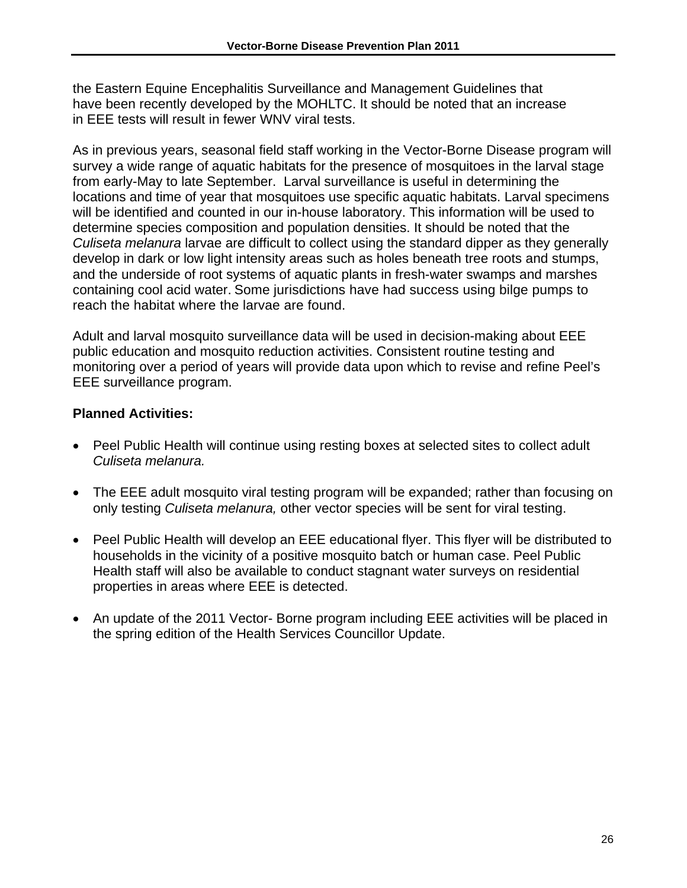the Eastern Equine Encephalitis Surveillance and Management Guidelines that have been recently developed by the MOHLTC. It should be noted that an increase in EEE tests will result in fewer WNV viral tests.

As in previous years, seasonal field staff working in the Vector-Borne Disease program will survey a wide range of aquatic habitats for the presence of mosquitoes in the larval stage from early-May to late September. Larval surveillance is useful in determining the locations and time of year that mosquitoes use specific aquatic habitats. Larval specimens will be identified and counted in our in-house laboratory. This information will be used to determine species composition and population densities. It should be noted that the *Culiseta melanura* larvae are difficult to collect using the standard dipper as they generally develop in dark or low light intensity areas such as holes beneath tree roots and stumps, and the underside of root systems of aquatic plants in fresh-water swamps and marshes containing cool acid water. Some jurisdictions have had success using bilge pumps to reach the habitat where the larvae are found.

Adult and larval mosquito surveillance data will be used in decision-making about EEE public education and mosquito reduction activities. Consistent routine testing and monitoring over a period of years will provide data upon which to revise and refine Peel's EEE surveillance program.

- Peel Public Health will continue using resting boxes at selected sites to collect adult *Culiseta melanura.*
- The EEE adult mosquito viral testing program will be expanded; rather than focusing on only testing *Culiseta melanura,* other vector species will be sent for viral testing.
- Peel Public Health will develop an EEE educational flyer. This flyer will be distributed to households in the vicinity of a positive mosquito batch or human case. Peel Public Health staff will also be available to conduct stagnant water surveys on residential properties in areas where EEE is detected.
- An update of the 2011 Vector- Borne program including EEE activities will be placed in the spring edition of the Health Services Councillor Update.